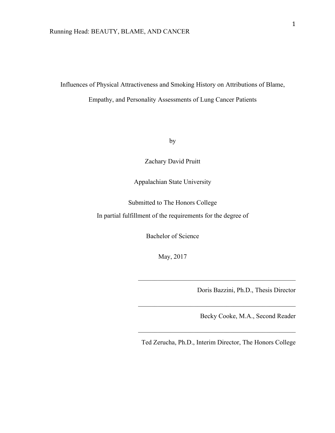#### Running Head: BEAUTY, BLAME, AND CANCER

Influences of Physical Attractiveness and Smoking History on Attributions of Blame, Empathy, and Personality Assessments of Lung Cancer Patients

by

Zachary David Pruitt

Appalachian State University

Submitted to The Honors College

In partial fulfillment of the requirements for the degree of

Bachelor of Science

May, 2017

Doris Bazzini, Ph.D., Thesis Director

Becky Cooke, M.A., Second Reader

Ted Zerucha, Ph.D., Interim Director, The Honors College

 $\mathcal{L}_\text{max}$  , and the set of the set of the set of the set of the set of the set of the set of the set of the set of the set of the set of the set of the set of the set of the set of the set of the set of the set of the

 $\mathcal{L}_\text{max}$  , and the set of the set of the set of the set of the set of the set of the set of the set of the set of the set of the set of the set of the set of the set of the set of the set of the set of the set of the

 $\mathcal{L}_\text{max}$  and the contract of the contract of the contract of the contract of the contract of the contract of the contract of the contract of the contract of the contract of the contract of the contract of the contrac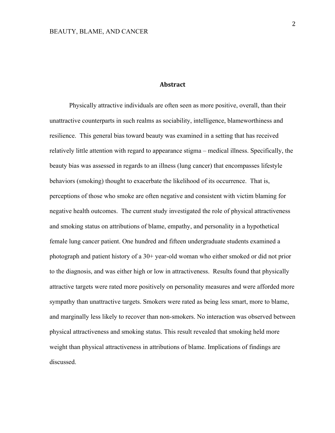### **Abstract**

Physically attractive individuals are often seen as more positive, overall, than their unattractive counterparts in such realms as sociability, intelligence, blameworthiness and resilience. This general bias toward beauty was examined in a setting that has received relatively little attention with regard to appearance stigma – medical illness. Specifically, the beauty bias was assessed in regards to an illness (lung cancer) that encompasses lifestyle behaviors (smoking) thought to exacerbate the likelihood of its occurrence. That is, perceptions of those who smoke are often negative and consistent with victim blaming for negative health outcomes. The current study investigated the role of physical attractiveness and smoking status on attributions of blame, empathy, and personality in a hypothetical female lung cancer patient. One hundred and fifteen undergraduate students examined a photograph and patient history of a 30+ year-old woman who either smoked or did not prior to the diagnosis, and was either high or low in attractiveness. Results found that physically attractive targets were rated more positively on personality measures and were afforded more sympathy than unattractive targets. Smokers were rated as being less smart, more to blame, and marginally less likely to recover than non-smokers. No interaction was observed between physical attractiveness and smoking status. This result revealed that smoking held more weight than physical attractiveness in attributions of blame. Implications of findings are discussed.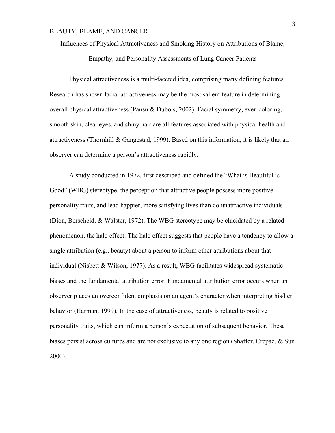Influences of Physical Attractiveness and Smoking History on Attributions of Blame,

Empathy, and Personality Assessments of Lung Cancer Patients

Physical attractiveness is a multi-faceted idea, comprising many defining features. Research has shown facial attractiveness may be the most salient feature in determining overall physical attractiveness (Pansu & Dubois, 2002). Facial symmetry, even coloring, smooth skin, clear eyes, and shiny hair are all features associated with physical health and attractiveness (Thornhill & Gangestad, 1999). Based on this information, it is likely that an observer can determine a person's attractiveness rapidly.

A study conducted in 1972, first described and defined the "What is Beautiful is Good" (WBG) stereotype, the perception that attractive people possess more positive personality traits, and lead happier, more satisfying lives than do unattractive individuals (Dion, Berscheid, & Walster, 1972). The WBG stereotype may be elucidated by a related phenomenon, the halo effect. The halo effect suggests that people have a tendency to allow a single attribution (e.g., beauty) about a person to inform other attributions about that individual (Nisbett & Wilson, 1977). As a result, WBG facilitates widespread systematic biases and the fundamental attribution error. Fundamental attribution error occurs when an observer places an overconfident emphasis on an agent's character when interpreting his/her behavior (Harman, 1999). In the case of attractiveness, beauty is related to positive personality traits, which can inform a person's expectation of subsequent behavior. These biases persist across cultures and are not exclusive to any one region (Shaffer, Crepaz, & Sun 2000).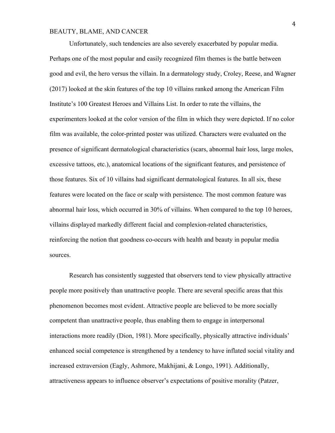Unfortunately, such tendencies are also severely exacerbated by popular media. Perhaps one of the most popular and easily recognized film themes is the battle between good and evil, the hero versus the villain. In a dermatology study, Croley, Reese, and Wagner (2017) looked at the skin features of the top 10 villains ranked among the American Film Institute's 100 Greatest Heroes and Villains List. In order to rate the villains, the experimenters looked at the color version of the film in which they were depicted. If no color film was available, the color-printed poster was utilized. Characters were evaluated on the presence of significant dermatological characteristics (scars, abnormal hair loss, large moles, excessive tattoos, etc.), anatomical locations of the significant features, and persistence of those features. Six of 10 villains had significant dermatological features. In all six, these features were located on the face or scalp with persistence. The most common feature was abnormal hair loss, which occurred in 30% of villains. When compared to the top 10 heroes, villains displayed markedly different facial and complexion-related characteristics, reinforcing the notion that goodness co-occurs with health and beauty in popular media sources.

Research has consistently suggested that observers tend to view physically attractive people more positively than unattractive people. There are several specific areas that this phenomenon becomes most evident. Attractive people are believed to be more socially competent than unattractive people, thus enabling them to engage in interpersonal interactions more readily (Dion, 1981). More specifically, physically attractive individuals' enhanced social competence is strengthened by a tendency to have inflated social vitality and increased extraversion (Eagly, Ashmore, Makhijani, & Longo, 1991). Additionally, attractiveness appears to influence observer's expectations of positive morality (Patzer,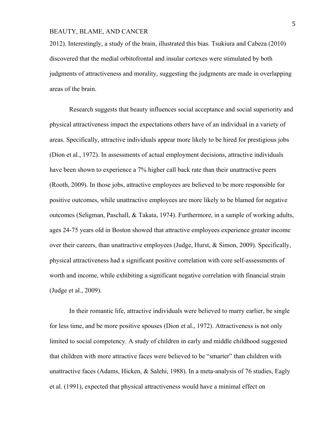2012). Interestingly, a study of the brain, illustrated this bias. Tsukiura and Cabeza (2010) discovered that the medial orbitofrontal and insular cortexes were stimulated by both judgments of attractiveness and morality, suggesting the judgments are made in overlapping areas of the brain.

Research suggests that beauty influences social acceptance and social superiority and physical attractiveness impact the expectations others have of an individual in a variety of areas. Specifically, attractive individuals appear more likely to be hired for prestigious jobs (Dion et al., 1972). In assessments of actual employment decisions, attractive individuals have been shown to experience a 7% higher call back rate than their unattractive peers (Rooth, 2009). In those jobs, attractive employees are believed to be more responsible for positive outcomes, while unattractive employees are more likely to be blamed for negative outcomes (Seligman, Paschall, & Takata, 1974). Furthermore, in a sample of working adults, ages 24-75 years old in Boston showed that attractive employees experience greater income over their careers, than unattractive employees (Judge, Hurst, & Simon, 2009). Specifically, physical attractiveness had a significant positive correlation with core self-assessments of worth and income, while exhibiting a significant negative correlation with financial strain (Judge et al., 2009).

In their romantic life, attractive individuals were believed to marry earlier, be single for less time, and be more positive spouses (Dion et al., 1972). Attractiveness is not only limited to social competency. A study of children in early and middle childhood suggested that children with more attractive faces were believed to be "smarter" than children with unattractive faces (Adams, Hicken, & Salehi, 1988). In a meta-analysis of 76 studies, Eagly et al. (1991), expected that physical attractiveness would have a minimal effect on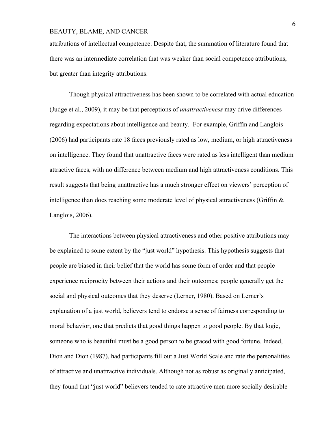attributions of intellectual competence. Despite that, the summation of literature found that there was an intermediate correlation that was weaker than social competence attributions, but greater than integrity attributions.

Though physical attractiveness has been shown to be correlated with actual education (Judge et al., 2009), it may be that perceptions of *unattractiveness* may drive differences regarding expectations about intelligence and beauty. For example, Griffin and Langlois (2006) had participants rate 18 faces previously rated as low, medium, or high attractiveness on intelligence. They found that unattractive faces were rated as less intelligent than medium attractive faces, with no difference between medium and high attractiveness conditions. This result suggests that being unattractive has a much stronger effect on viewers' perception of intelligence than does reaching some moderate level of physical attractiveness (Griffin & Langlois, 2006).

The interactions between physical attractiveness and other positive attributions may be explained to some extent by the "just world" hypothesis. This hypothesis suggests that people are biased in their belief that the world has some form of order and that people experience reciprocity between their actions and their outcomes; people generally get the social and physical outcomes that they deserve (Lerner, 1980). Based on Lerner's explanation of a just world, believers tend to endorse a sense of fairness corresponding to moral behavior, one that predicts that good things happen to good people. By that logic, someone who is beautiful must be a good person to be graced with good fortune. Indeed, Dion and Dion (1987), had participants fill out a Just World Scale and rate the personalities of attractive and unattractive individuals. Although not as robust as originally anticipated, they found that "just world" believers tended to rate attractive men more socially desirable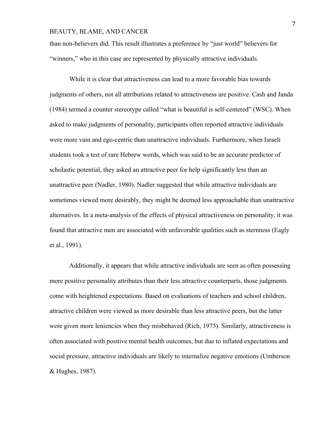than non-believers did. This result illustrates a preference by "just world" believers for "winners," who in this case are represented by physically attractive individuals.

While it is clear that attractiveness can lead to a more favorable bias towards judgments of others, not all attributions related to attractiveness are positive. Cash and Janda (1984) termed a counter stereotype called "what is beautiful is self-centered" (WSC). When asked to make judgments of personality, participants often reported attractive individuals were more vain and ego-centric than unattractive individuals. Furthermore, when Israeli students took a test of rare Hebrew words, which was said to be an accurate predictor of scholastic potential, they asked an attractive peer for help significantly less than an unattractive peer (Nadler, 1980). Nadler suggested that while attractive individuals are sometimes viewed more desirably, they might be deemed less approachable than unattractive alternatives. In a meta-analysis of the effects of physical attractiveness on personality, it was found that attractive men are associated with unfavorable qualities such as sternness (Eagly et al., 1991).

Additionally, it appears that while attractive individuals are seen as often possessing more positive personality attributes than their less attractive counterparts, those judgments come with heightened expectations. Based on evaluations of teachers and school children, attractive children were viewed as more desirable than less attractive peers, but the latter were given more leniencies when they misbehaved (Rich, 1975). Similarly, attractiveness is often associated with positive mental health outcomes, but due to inflated expectations and social pressure, attractive individuals are likely to internalize negative emotions (Umberson & Hughes, 1987).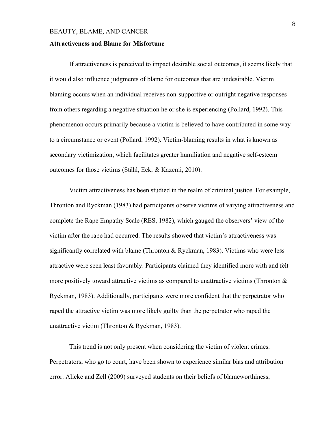#### **Attractiveness and Blame for Misfortune**

If attractiveness is perceived to impact desirable social outcomes, it seems likely that it would also influence judgments of blame for outcomes that are undesirable. Victim blaming occurs when an individual receives non-supportive or outright negative responses from others regarding a negative situation he or she is experiencing (Pollard, 1992). This phenomenon occurs primarily because a victim is believed to have contributed in some way to a circumstance or event (Pollard, 1992). Victim-blaming results in what is known as secondary victimization, which facilitates greater humiliation and negative self-esteem outcomes for those victims (Ståhl, Eek, & Kazemi, 2010).

Victim attractiveness has been studied in the realm of criminal justice. For example, Thronton and Ryckman (1983) had participants observe victims of varying attractiveness and complete the Rape Empathy Scale (RES, 1982), which gauged the observers' view of the victim after the rape had occurred. The results showed that victim's attractiveness was significantly correlated with blame (Thronton & Ryckman, 1983). Victims who were less attractive were seen least favorably. Participants claimed they identified more with and felt more positively toward attractive victims as compared to unattractive victims (Thronton & Ryckman, 1983). Additionally, participants were more confident that the perpetrator who raped the attractive victim was more likely guilty than the perpetrator who raped the unattractive victim (Thronton & Ryckman, 1983).

This trend is not only present when considering the victim of violent crimes. Perpetrators, who go to court, have been shown to experience similar bias and attribution error. Alicke and Zell (2009) surveyed students on their beliefs of blameworthiness,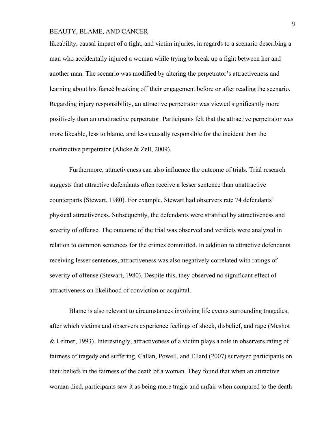likeability, causal impact of a fight, and victim injuries, in regards to a scenario describing a man who accidentally injured a woman while trying to break up a fight between her and another man. The scenario was modified by altering the perpetrator's attractiveness and learning about his fiancé breaking off their engagement before or after reading the scenario. Regarding injury responsibility, an attractive perpetrator was viewed significantly more positively than an unattractive perpetrator. Participants felt that the attractive perpetrator was more likeable, less to blame, and less causally responsible for the incident than the unattractive perpetrator (Alicke & Zell, 2009).

Furthermore, attractiveness can also influence the outcome of trials. Trial research suggests that attractive defendants often receive a lesser sentence than unattractive counterparts (Stewart, 1980). For example, Stewart had observers rate 74 defendants' physical attractiveness. Subsequently, the defendants were stratified by attractiveness and severity of offense. The outcome of the trial was observed and verdicts were analyzed in relation to common sentences for the crimes committed. In addition to attractive defendants receiving lesser sentences, attractiveness was also negatively correlated with ratings of severity of offense (Stewart, 1980). Despite this, they observed no significant effect of attractiveness on likelihood of conviction or acquittal.

Blame is also relevant to circumstances involving life events surrounding tragedies, after which victims and observers experience feelings of shock, disbelief, and rage (Meshot & Leitner, 1993). Interestingly, attractiveness of a victim plays a role in observers rating of fairness of tragedy and suffering. Callan, Powell, and Ellard (2007) surveyed participants on their beliefs in the fairness of the death of a woman. They found that when an attractive woman died, participants saw it as being more tragic and unfair when compared to the death

9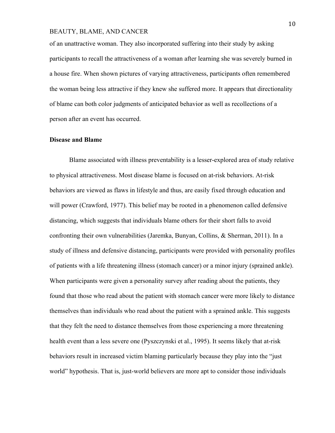of an unattractive woman. They also incorporated suffering into their study by asking participants to recall the attractiveness of a woman after learning she was severely burned in a house fire. When shown pictures of varying attractiveness, participants often remembered the woman being less attractive if they knew she suffered more. It appears that directionality of blame can both color judgments of anticipated behavior as well as recollections of a person after an event has occurred.

#### **Disease and Blame**

Blame associated with illness preventability is a lesser-explored area of study relative to physical attractiveness. Most disease blame is focused on at-risk behaviors. At-risk behaviors are viewed as flaws in lifestyle and thus, are easily fixed through education and will power (Crawford, 1977). This belief may be rooted in a phenomenon called defensive distancing, which suggests that individuals blame others for their short falls to avoid confronting their own vulnerabilities (Jaremka, Bunyan, Collins, & Sherman, 2011). In a study of illness and defensive distancing, participants were provided with personality profiles of patients with a life threatening illness (stomach cancer) or a minor injury (sprained ankle). When participants were given a personality survey after reading about the patients, they found that those who read about the patient with stomach cancer were more likely to distance themselves than individuals who read about the patient with a sprained ankle. This suggests that they felt the need to distance themselves from those experiencing a more threatening health event than a less severe one (Pyszczynski et al., 1995). It seems likely that at-risk behaviors result in increased victim blaming particularly because they play into the "just world" hypothesis. That is, just-world believers are more apt to consider those individuals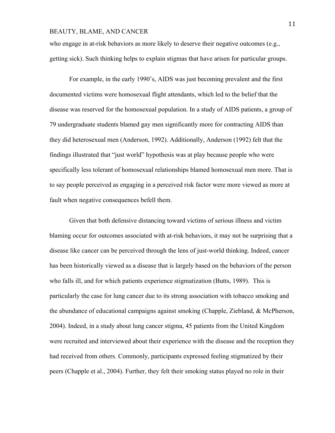who engage in at-risk behaviors as more likely to deserve their negative outcomes (e.g., getting sick). Such thinking helps to explain stigmas that have arisen for particular groups.

For example, in the early 1990's, AIDS was just becoming prevalent and the first documented victims were homosexual flight attendants, which led to the belief that the disease was reserved for the homosexual population. In a study of AIDS patients, a group of 79 undergraduate students blamed gay men significantly more for contracting AIDS than they did heterosexual men (Anderson, 1992). Additionally, Anderson (1992) felt that the findings illustrated that "just world" hypothesis was at play because people who were specifically less tolerant of homosexual relationships blamed homosexual men more. That is to say people perceived as engaging in a perceived risk factor were more viewed as more at fault when negative consequences befell them.

Given that both defensive distancing toward victims of serious illness and victim blaming occur for outcomes associated with at-risk behaviors, it may not be surprising that a disease like cancer can be perceived through the lens of just-world thinking. Indeed, cancer has been historically viewed as a disease that is largely based on the behaviors of the person who falls ill, and for which patients experience stigmatization (Butts, 1989). This is particularly the case for lung cancer due to its strong association with tobacco smoking and the abundance of educational campaigns against smoking (Chapple, Ziebland, & McPherson, 2004). Indeed, in a study about lung cancer stigma, 45 patients from the United Kingdom were recruited and interviewed about their experience with the disease and the reception they had received from others. Commonly, participants expressed feeling stigmatized by their peers (Chapple et al., 2004). Further, they felt their smoking status played no role in their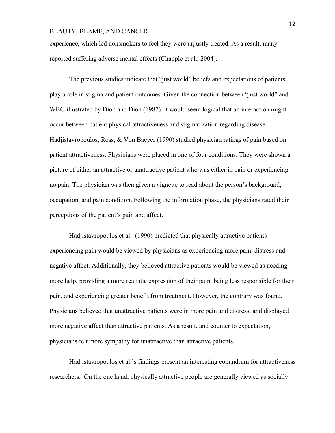experience, which led nonsmokers to feel they were unjustly treated. As a result, many reported suffering adverse mental effects (Chapple et al., 2004).

The previous studies indicate that "just world" beliefs and expectations of patients play a role in stigma and patient outcomes. Given the connection between "just world" and WBG illustrated by Dion and Dion (1987), it would seem logical that an interaction might occur between patient physical attractiveness and stigmatization regarding disease. Hadjistavropoulos, Ross, & Von Baeyer (1990) studied physician ratings of pain based on patient attractiveness. Physicians were placed in one of four conditions. They were shown a picture of either an attractive or unattractive patient who was either in pain or experiencing no pain. The physician was then given a vignette to read about the person's background, occupation, and pain condition. Following the information phase, the physicians rated their perceptions of the patient's pain and affect.

Hadjistavropoulos et al. (1990) predicted that physically attractive patients experiencing pain would be viewed by physicians as experiencing more pain, distress and negative affect. Additionally, they believed attractive patients would be viewed as needing more help, providing a more realistic expression of their pain, being less responsible for their pain, and experiencing greater benefit from treatment. However, the contrary was found. Physicians believed that unattractive patients were in more pain and distress, and displayed more negative affect than attractive patients. As a result, and counter to expectation, physicians felt more sympathy for unattractive than attractive patients.

Hadjistavropoulos et al.'s findings present an interesting conundrum for attractiveness researchers. On the one hand, physically attractive people are generally viewed as socially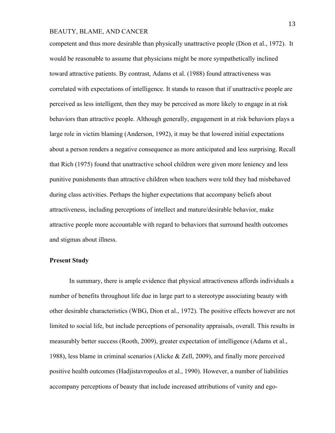competent and thus more desirable than physically unattractive people (Dion et al., 1972). It would be reasonable to assume that physicians might be more sympathetically inclined toward attractive patients. By contrast, Adams et al. (1988) found attractiveness was correlated with expectations of intelligence. It stands to reason that if unattractive people are perceived as less intelligent, then they may be perceived as more likely to engage in at risk behaviors than attractive people. Although generally, engagement in at risk behaviors plays a large role in victim blaming (Anderson, 1992), it may be that lowered initial expectations about a person renders a negative consequence as more anticipated and less surprising. Recall that Rich (1975) found that unattractive school children were given more leniency and less punitive punishments than attractive children when teachers were told they had misbehaved during class activities. Perhaps the higher expectations that accompany beliefs about attractiveness, including perceptions of intellect and mature/desirable behavior, make attractive people more accountable with regard to behaviors that surround health outcomes and stigmas about illness.

#### **Present Study**

In summary, there is ample evidence that physical attractiveness affords individuals a number of benefits throughout life due in large part to a stereotype associating beauty with other desirable characteristics (WBG, Dion et al., 1972). The positive effects however are not limited to social life, but include perceptions of personality appraisals, overall. This results in measurably better success (Rooth, 2009), greater expectation of intelligence (Adams et al., 1988), less blame in criminal scenarios (Alicke & Zell, 2009), and finally more perceived positive health outcomes (Hadjistavropoulos et al., 1990). However, a number of liabilities accompany perceptions of beauty that include increased attributions of vanity and ego-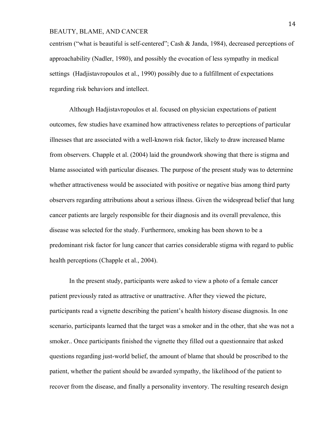centrism ("what is beautiful is self-centered"; Cash & Janda, 1984), decreased perceptions of approachability (Nadler, 1980), and possibly the evocation of less sympathy in medical settings (Hadjistavropoulos et al., 1990) possibly due to a fulfillment of expectations regarding risk behaviors and intellect.

Although Hadjistavropoulos et al. focused on physician expectations of patient outcomes, few studies have examined how attractiveness relates to perceptions of particular illnesses that are associated with a well-known risk factor, likely to draw increased blame from observers. Chapple et al. (2004) laid the groundwork showing that there is stigma and blame associated with particular diseases. The purpose of the present study was to determine whether attractiveness would be associated with positive or negative bias among third party observers regarding attributions about a serious illness. Given the widespread belief that lung cancer patients are largely responsible for their diagnosis and its overall prevalence, this disease was selected for the study. Furthermore, smoking has been shown to be a predominant risk factor for lung cancer that carries considerable stigma with regard to public health perceptions (Chapple et al., 2004).

In the present study, participants were asked to view a photo of a female cancer patient previously rated as attractive or unattractive. After they viewed the picture, participants read a vignette describing the patient's health history disease diagnosis. In one scenario, participants learned that the target was a smoker and in the other, that she was not a smoker.. Once participants finished the vignette they filled out a questionnaire that asked questions regarding just-world belief, the amount of blame that should be proscribed to the patient, whether the patient should be awarded sympathy, the likelihood of the patient to recover from the disease, and finally a personality inventory. The resulting research design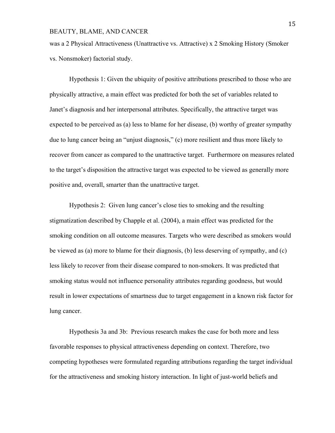was a 2 Physical Attractiveness (Unattractive vs. Attractive) x 2 Smoking History (Smoker vs. Nonsmoker) factorial study.

Hypothesis 1: Given the ubiquity of positive attributions prescribed to those who are physically attractive, a main effect was predicted for both the set of variables related to Janet's diagnosis and her interpersonal attributes. Specifically, the attractive target was expected to be perceived as (a) less to blame for her disease, (b) worthy of greater sympathy due to lung cancer being an "unjust diagnosis," (c) more resilient and thus more likely to recover from cancer as compared to the unattractive target. Furthermore on measures related to the target's disposition the attractive target was expected to be viewed as generally more positive and, overall, smarter than the unattractive target.

Hypothesis 2: Given lung cancer's close ties to smoking and the resulting stigmatization described by Chapple et al. (2004), a main effect was predicted for the smoking condition on all outcome measures. Targets who were described as smokers would be viewed as (a) more to blame for their diagnosis, (b) less deserving of sympathy, and (c) less likely to recover from their disease compared to non-smokers. It was predicted that smoking status would not influence personality attributes regarding goodness, but would result in lower expectations of smartness due to target engagement in a known risk factor for lung cancer.

Hypothesis 3a and 3b: Previous research makes the case for both more and less favorable responses to physical attractiveness depending on context. Therefore, two competing hypotheses were formulated regarding attributions regarding the target individual for the attractiveness and smoking history interaction. In light of just-world beliefs and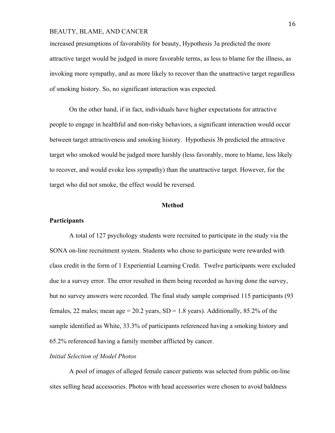increased presumptions of favorability for beauty, Hypothesis 3a predicted the more attractive target would be judged in more favorable terms, as less to blame for the illness, as invoking more sympathy, and as more likely to recover than the unattractive target regardless of smoking history. So, no significant interaction was expected.

On the other hand, if in fact, individuals have higher expectations for attractive people to engage in healthful and non-risky behaviors, a significant interaction would occur between target attractiveness and smoking history. Hypothesis 3b predicted the attractive target who smoked would be judged more harshly (less favorably, more to blame, less likely to recover, and would evoke less sympathy) than the unattractive target. However, for the target who did not smoke, the effect would be reversed.

#### **Method**

# **Participants**

A total of 127 psychology students were recruited to participate in the study via the SONA on-line recruitment system. Students who chose to participate were rewarded with class credit in the form of 1 Experiential Learning Credit. Twelve participants were excluded due to a survey error. The error resulted in them being recorded as having done the survey, but no survey answers were recorded. The final study sample comprised 115 participants (93 females, 22 males; mean age =  $20.2$  years, SD = 1.8 years). Additionally, 85.2% of the sample identified as White, 33.3% of participants referenced having a smoking history and 65.2% referenced having a family member afflicted by cancer.

### *Initial Selection of Model Photos*

A pool of images of alleged female cancer patients was selected from public on-line sites selling head accessories. Photos with head accessories were chosen to avoid baldness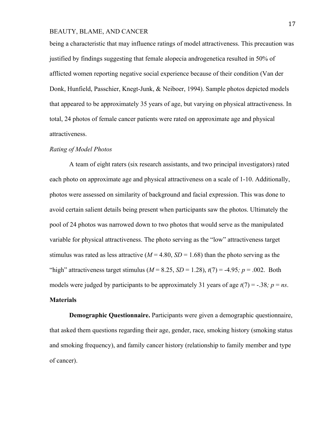being a characteristic that may influence ratings of model attractiveness. This precaution was justified by findings suggesting that female alopecia androgenetica resulted in 50% of afflicted women reporting negative social experience because of their condition (Van der Donk, Hunfield, Passchier, Knegt-Junk, & Neiboer, 1994). Sample photos depicted models that appeared to be approximately 35 years of age, but varying on physical attractiveness. In total, 24 photos of female cancer patients were rated on approximate age and physical attractiveness.

#### *Rating of Model Photos*

A team of eight raters (six research assistants, and two principal investigators) rated each photo on approximate age and physical attractiveness on a scale of 1-10. Additionally, photos were assessed on similarity of background and facial expression. This was done to avoid certain salient details being present when participants saw the photos. Ultimately the pool of 24 photos was narrowed down to two photos that would serve as the manipulated variable for physical attractiveness. The photo serving as the "low" attractiveness target stimulus was rated as less attractive ( $M = 4.80$ ,  $SD = 1.68$ ) than the photo serving as the "high" attractiveness target stimulus ( $M = 8.25$ ,  $SD = 1.28$ ),  $t(7) = -4.95$ ;  $p = .002$ . Both models were judged by participants to be approximately 31 years of age  $t(7) = -.38$ ;  $p = ns$ . **Materials**

**Demographic Questionnaire.** Participants were given a demographic questionnaire, that asked them questions regarding their age, gender, race, smoking history (smoking status and smoking frequency), and family cancer history (relationship to family member and type of cancer).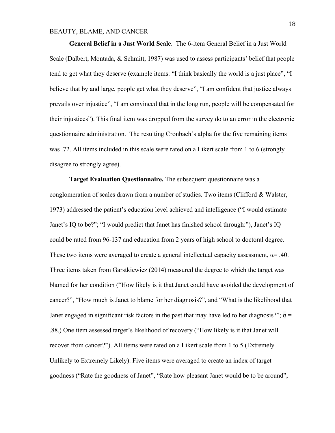**General Belief in a Just World Scale**. The 6-item General Belief in a Just World Scale (Dalbert, Montada, & Schmitt, 1987) was used to assess participants' belief that people tend to get what they deserve (example items: "I think basically the world is a just place", "I believe that by and large, people get what they deserve", "I am confident that justice always prevails over injustice", "I am convinced that in the long run, people will be compensated for their injustices"). This final item was dropped from the survey do to an error in the electronic questionnaire administration. The resulting Cronbach's alpha for the five remaining items was .72. All items included in this scale were rated on a Likert scale from 1 to 6 (strongly disagree to strongly agree).

**Target Evaluation Questionnaire.** The subsequent questionnaire was a conglomeration of scales drawn from a number of studies. Two items (Clifford & Walster, 1973) addressed the patient's education level achieved and intelligence ("I would estimate Janet's IQ to be?"; "I would predict that Janet has finished school through:"), Janet's IQ could be rated from 96-137 and education from 2 years of high school to doctoral degree. These two items were averaged to create a general intellectual capacity assessment,  $\alpha = .40$ . Three items taken from Garstkiewicz (2014) measured the degree to which the target was blamed for her condition ("How likely is it that Janet could have avoided the development of cancer?", "How much is Janet to blame for her diagnosis?", and "What is the likelihood that Janet engaged in significant risk factors in the past that may have led to her diagnosis?";  $\alpha$  = .88.) One item assessed target's likelihood of recovery ("How likely is it that Janet will recover from cancer?"). All items were rated on a Likert scale from 1 to 5 (Extremely Unlikely to Extremely Likely). Five items were averaged to create an index of target goodness ("Rate the goodness of Janet", "Rate how pleasant Janet would be to be around",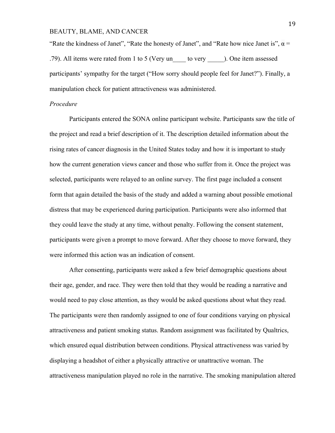"Rate the kindness of Janet", "Rate the honesty of Janet", and "Rate how nice Janet is",  $\alpha$  = .79). All items were rated from 1 to 5 (Very un\_\_\_\_ to very \_\_\_\_\_). One item assessed participants' sympathy for the target ("How sorry should people feel for Janet?"). Finally, a manipulation check for patient attractiveness was administered.

#### *Procedure*

Participants entered the SONA online participant website. Participants saw the title of the project and read a brief description of it. The description detailed information about the rising rates of cancer diagnosis in the United States today and how it is important to study how the current generation views cancer and those who suffer from it. Once the project was selected, participants were relayed to an online survey. The first page included a consent form that again detailed the basis of the study and added a warning about possible emotional distress that may be experienced during participation. Participants were also informed that they could leave the study at any time, without penalty. Following the consent statement, participants were given a prompt to move forward. After they choose to move forward, they were informed this action was an indication of consent.

After consenting, participants were asked a few brief demographic questions about their age, gender, and race. They were then told that they would be reading a narrative and would need to pay close attention, as they would be asked questions about what they read. The participants were then randomly assigned to one of four conditions varying on physical attractiveness and patient smoking status. Random assignment was facilitated by Qualtrics, which ensured equal distribution between conditions. Physical attractiveness was varied by displaying a headshot of either a physically attractive or unattractive woman. The attractiveness manipulation played no role in the narrative. The smoking manipulation altered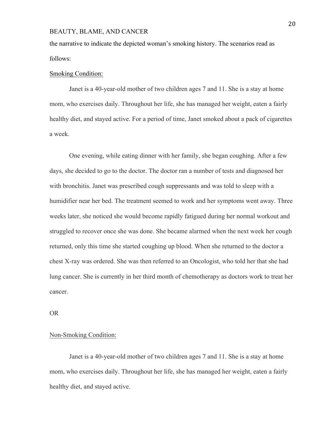the narrative to indicate the depicted woman's smoking history. The scenarios read as follows:

#### Smoking Condition:

Janet is a 40-year-old mother of two children ages 7 and 11. She is a stay at home mom, who exercises daily. Throughout her life, she has managed her weight, eaten a fairly healthy diet, and stayed active. For a period of time, Janet smoked about a pack of cigarettes a week.

One evening, while eating dinner with her family, she began coughing. After a few days, she decided to go to the doctor. The doctor ran a number of tests and diagnosed her with bronchitis. Janet was prescribed cough suppressants and was told to sleep with a humidifier near her bed. The treatment seemed to work and her symptoms went away. Three weeks later, she noticed she would become rapidly fatigued during her normal workout and struggled to recover once she was done. She became alarmed when the next week her cough returned, only this time she started coughing up blood. When she returned to the doctor a chest X-ray was ordered. She was then referred to an Oncologist, who told her that she had lung cancer. She is currently in her third month of chemotherapy as doctors work to treat her cancer.

OR

#### Non-Smoking Condition:

Janet is a 40-year-old mother of two children ages 7 and 11. She is a stay at home mom, who exercises daily. Throughout her life, she has managed her weight, eaten a fairly healthy diet, and stayed active.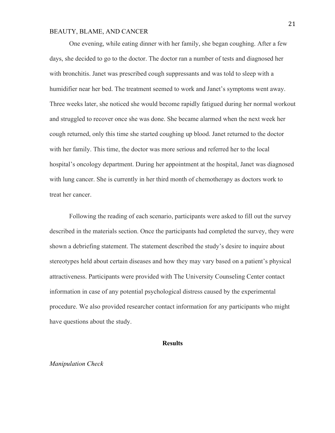One evening, while eating dinner with her family, she began coughing. After a few days, she decided to go to the doctor. The doctor ran a number of tests and diagnosed her with bronchitis. Janet was prescribed cough suppressants and was told to sleep with a humidifier near her bed. The treatment seemed to work and Janet's symptoms went away. Three weeks later, she noticed she would become rapidly fatigued during her normal workout and struggled to recover once she was done. She became alarmed when the next week her cough returned, only this time she started coughing up blood. Janet returned to the doctor with her family. This time, the doctor was more serious and referred her to the local hospital's oncology department. During her appointment at the hospital, Janet was diagnosed with lung cancer. She is currently in her third month of chemotherapy as doctors work to treat her cancer.

Following the reading of each scenario, participants were asked to fill out the survey described in the materials section. Once the participants had completed the survey, they were shown a debriefing statement. The statement described the study's desire to inquire about stereotypes held about certain diseases and how they may vary based on a patient's physical attractiveness. Participants were provided with The University Counseling Center contact information in case of any potential psychological distress caused by the experimental procedure. We also provided researcher contact information for any participants who might have questions about the study.

#### **Results**

#### *Manipulation Check*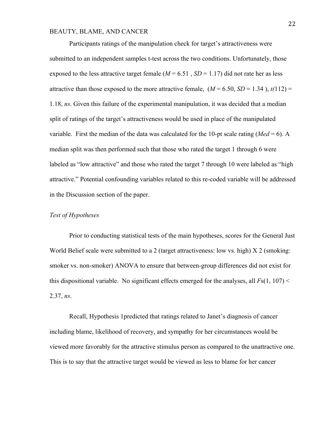Participants ratings of the manipulation check for target's attractiveness were submitted to an independent samples t-test across the two conditions. Unfortunately, those exposed to the less attractive target female  $(M = 6.51, SD = 1.17)$  did not rate her as less attractive than those exposed to the more attractive female,  $(M = 6.50, SD = 1.34)$ ,  $t(112) =$ 1.18, *ns*. Given this failure of the experimental manipulation, it was decided that a median split of ratings of the target's attractiveness would be used in place of the manipulated variable. First the median of the data was calculated for the 10-pt scale rating ( $Med = 6$ ). A median split was then performed such that those who rated the target 1 through 6 were labeled as "low attractive" and those who rated the target 7 through 10 were labeled as "high attractive." Potential confounding variables related to this re-coded variable will be addressed in the Discussion section of the paper.

#### *Test of Hypotheses*

Prior to conducting statistical tests of the main hypotheses, scores for the General Just World Belief scale were submitted to a 2 (target attractiveness: low vs. high) X 2 (smoking: smoker vs. non-smoker) ANOVA to ensure that between-group differences did not exist for this dispositional variable. No significant effects emerged for the analyses, all  $F<sub>S</sub>(1, 107)$  < 2.37, *ns*.

Recall, Hypothesis 1predicted that ratings related to Janet's diagnosis of cancer including blame, likelihood of recovery, and sympathy for her circumstances would be viewed more favorably for the attractive stimulus person as compared to the unattractive one. This is to say that the attractive target would be viewed as less to blame for her cancer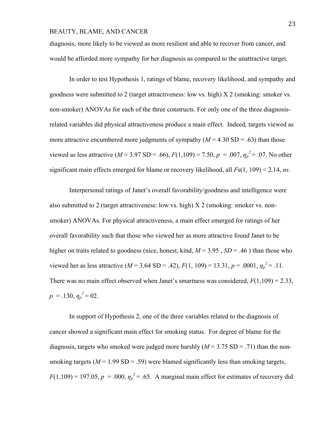diagnosis, more likely to be viewed as more resilient and able to recover from cancer, and would be afforded more sympathy for her diagnosis as compared to the unattractive target.

In order to test Hypothesis 1, ratings of blame, recovery likelihood, and sympathy and goodness were submitted to 2 (target attractiveness: low vs. high) X 2 (smoking: smoker vs. non-smoker) ANOVAs for each of the three constructs. For only one of the three diagnosisrelated variables did physical attractiveness produce a main effect. Indeed, targets viewed as more attractive encumbered more judgments of sympathy  $(M = 4.30 \text{ SD} = .63)$  than those viewed as less attractive ( $M = 3.97$  SD = .66),  $F(1,109) = 7.50$ ,  $p = .007$ ,  $\eta_p^2 = .07$ . No other significant main effects emerged for blame or recovery likelihood, all *F*s(1, 109) < 2.14, *ns*.

Interpersonal ratings of Janet's overall favorability/goodness and intelligence were also submitted to 2 (target attractiveness: low vs. high)  $X$  2 (smoking: smoker vs. nonsmoker) ANOVAs. For physical attractiveness, a main effect emerged for ratings of her overall favorability such that those who viewed her as more attractive found Janet to be higher on traits related to goodness (nice, honest, kind,  $M = 3.95$ ,  $SD = .46$ ) than those who viewed her as less attractive ( $M = 3.64$  SD = .42),  $F(1, 109) = 13.31$ ,  $p = .0001$ ,  $\eta_p^2 = .11$ . There was no main effect observed when Janet's smartness was considered,  $F(1,109) = 2.33$ ,  $p = .130, \eta_p^2 = 02.$ 

In support of Hypothesis 2, one of the three variables related to the diagnosis of cancer showed a significant main effect for smoking status. For degree of blame for the diagnosis, targets who smoked were judged more harshly  $(M = 3.75$  SD = .71) than the nonsmoking targets ( $M = 1.99$  SD = .59) were blamed significantly less than smoking targets,  $F(1,109) = 197.05$ ,  $p = .000$ ,  $\eta_p^2 = .65$ . A marginal main effect for estimates of recovery did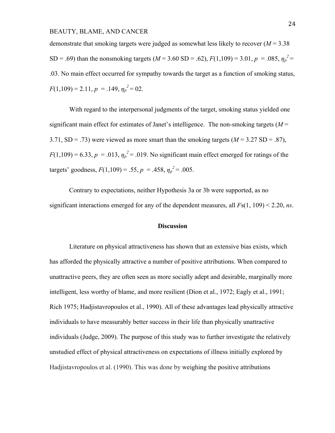demonstrate that smoking targets were judged as somewhat less likely to recover (*M* = 3.38 SD = .69) than the nonsmoking targets ( $M = 3.60$  SD = .62),  $F(1,109) = 3.01$ ,  $p = .085$ ,  $\eta_p^2 =$ .03. No main effect occurred for sympathy towards the target as a function of smoking status,  $F(1,109) = 2.11, p = .149, \eta_p^2 = 02.$ 

With regard to the interpersonal judgments of the target, smoking status yielded one significant main effect for estimates of Janet's intelligence. The non-smoking targets (*M* = 3.71,  $SD = .73$ ) were viewed as more smart than the smoking targets ( $M = 3.27$  SD = .87),  $F(1,109) = 6.33, p = .013, \eta_p^2 = .019$ . No significant main effect emerged for ratings of the targets' goodness,  $F(1,109) = .55$ ,  $p = .458$ ,  $\eta_p^2 = .005$ .

Contrary to expectations, neither Hypothesis 3a or 3b were supported, as no significant interactions emerged for any of the dependent measures, all *F*s(1, 109) < 2.20, *ns*.

# **Discussion**

Literature on physical attractiveness has shown that an extensive bias exists, which has afforded the physically attractive a number of positive attributions. When compared to unattractive peers, they are often seen as more socially adept and desirable, marginally more intelligent, less worthy of blame, and more resilient (Dion et al., 1972; Eagly et al., 1991; Rich 1975; Hadjistavropoulos et al., 1990). All of these advantages lead physically attractive individuals to have measurably better success in their life than physically unattractive individuals (Judge, 2009). The purpose of this study was to further investigate the relatively unstudied effect of physical attractiveness on expectations of illness initially explored by Hadjistavropoulos et al. (1990). This was done by weighing the positive attributions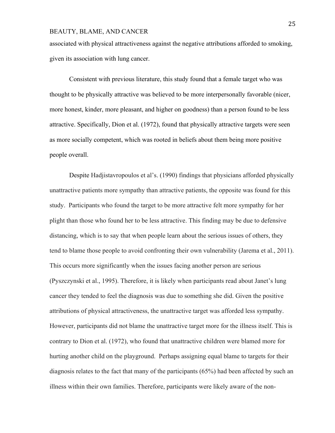associated with physical attractiveness against the negative attributions afforded to smoking, given its association with lung cancer.

Consistent with previous literature, this study found that a female target who was thought to be physically attractive was believed to be more interpersonally favorable (nicer, more honest, kinder, more pleasant, and higher on goodness) than a person found to be less attractive. Specifically, Dion et al. (1972), found that physically attractive targets were seen as more socially competent, which was rooted in beliefs about them being more positive people overall.

Despite Hadjistavropoulos et al's. (1990) findings that physicians afforded physically unattractive patients more sympathy than attractive patients, the opposite was found for this study. Participants who found the target to be more attractive felt more sympathy for her plight than those who found her to be less attractive. This finding may be due to defensive distancing, which is to say that when people learn about the serious issues of others, they tend to blame those people to avoid confronting their own vulnerability (Jarema et al., 2011). This occurs more significantly when the issues facing another person are serious (Pyszczynski et al., 1995). Therefore, it is likely when participants read about Janet's lung cancer they tended to feel the diagnosis was due to something she did. Given the positive attributions of physical attractiveness, the unattractive target was afforded less sympathy. However, participants did not blame the unattractive target more for the illness itself. This is contrary to Dion et al. (1972), who found that unattractive children were blamed more for hurting another child on the playground. Perhaps assigning equal blame to targets for their diagnosis relates to the fact that many of the participants (65%) had been affected by such an illness within their own families. Therefore, participants were likely aware of the non-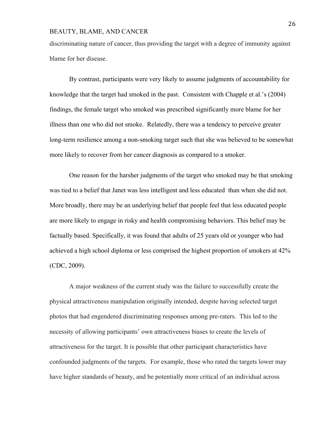discriminating nature of cancer, thus providing the target with a degree of immunity against blame for her disease.

By contrast, participants were very likely to assume judgments of accountability for knowledge that the target had smoked in the past. Consistent with Chapple et al.'s (2004) findings, the female target who smoked was prescribed significantly more blame for her illness than one who did not smoke. Relatedly, there was a tendency to perceive greater long-term resilience among a non-smoking target such that she was believed to be somewhat more likely to recover from her cancer diagnosis as compared to a smoker.

One reason for the harsher judgments of the target who smoked may be that smoking was tied to a belief that Janet was less intelligent and less educated than when she did not. More broadly, there may be an underlying belief that people feel that less educated people are more likely to engage in risky and health compromising behaviors. This belief may be factually based. Specifically, it was found that adults of 25 years old or younger who had achieved a high school diploma or less comprised the highest proportion of smokers at 42% (CDC, 2009).

A major weakness of the current study was the failure to successfully create the physical attractiveness manipulation originally intended, despite having selected target photos that had engendered discriminating responses among pre-raters. This led to the necessity of allowing participants' own attractiveness biases to create the levels of attractiveness for the target. It is possible that other participant characteristics have confounded judgments of the targets. For example, those who rated the targets lower may have higher standards of beauty, and be potentially more critical of an individual across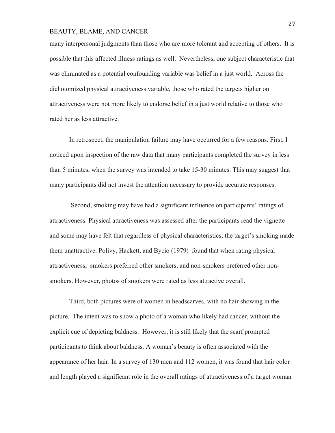many interpersonal judgments than those who are more tolerant and accepting of others. It is possible that this affected illness ratings as well. Nevertheless, one subject characteristic that was eliminated as a potential confounding variable was belief in a just world. Across the dichotomized physical attractiveness variable, those who rated the targets higher on attractiveness were not more likely to endorse belief in a just world relative to those who rated her as less attractive.

In retrospect, the manipulation failure may have occurred for a few reasons. First, I noticed upon inspection of the raw data that many participants completed the survey in less than 5 minutes, when the survey was intended to take 15-30 minutes. This may suggest that many participants did not invest the attention necessary to provide accurate responses.

Second, smoking may have had a significant influence on participants' ratings of attractiveness. Physical attractiveness was assessed after the participants read the vignette and some may have felt that regardless of physical characteristics, the target's smoking made them unattractive. Polivy, Hackett, and Bycio (1979) found that when rating physical attractiveness, smokers preferred other smokers, and non-smokers preferred other nonsmokers. However, photos of smokers were rated as less attractive overall.

Third, both pictures were of women in headscarves, with no hair showing in the picture. The intent was to show a photo of a woman who likely had cancer, without the explicit cue of depicting baldness. However, it is still likely that the scarf prompted participants to think about baldness. A woman's beauty is often associated with the appearance of her hair. In a survey of 130 men and 112 women, it was found that hair color and length played a significant role in the overall ratings of attractiveness of a target woman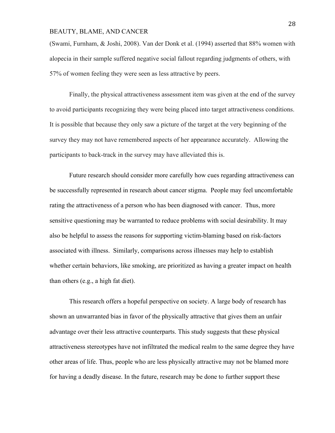(Swami, Furnham, & Joshi, 2008). Van der Donk et al. (1994) asserted that 88% women with alopecia in their sample suffered negative social fallout regarding judgments of others, with 57% of women feeling they were seen as less attractive by peers.

Finally, the physical attractiveness assessment item was given at the end of the survey to avoid participants recognizing they were being placed into target attractiveness conditions. It is possible that because they only saw a picture of the target at the very beginning of the survey they may not have remembered aspects of her appearance accurately. Allowing the participants to back-track in the survey may have alleviated this is.

Future research should consider more carefully how cues regarding attractiveness can be successfully represented in research about cancer stigma. People may feel uncomfortable rating the attractiveness of a person who has been diagnosed with cancer. Thus, more sensitive questioning may be warranted to reduce problems with social desirability. It may also be helpful to assess the reasons for supporting victim-blaming based on risk-factors associated with illness. Similarly, comparisons across illnesses may help to establish whether certain behaviors, like smoking, are prioritized as having a greater impact on health than others (e.g., a high fat diet).

This research offers a hopeful perspective on society. A large body of research has shown an unwarranted bias in favor of the physically attractive that gives them an unfair advantage over their less attractive counterparts. This study suggests that these physical attractiveness stereotypes have not infiltrated the medical realm to the same degree they have other areas of life. Thus, people who are less physically attractive may not be blamed more for having a deadly disease. In the future, research may be done to further support these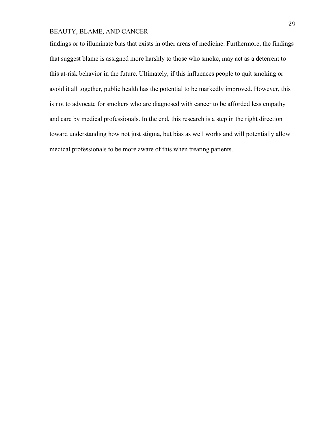findings or to illuminate bias that exists in other areas of medicine. Furthermore, the findings that suggest blame is assigned more harshly to those who smoke, may act as a deterrent to this at-risk behavior in the future. Ultimately, if this influences people to quit smoking or avoid it all together, public health has the potential to be markedly improved. However, this is not to advocate for smokers who are diagnosed with cancer to be afforded less empathy and care by medical professionals. In the end, this research is a step in the right direction toward understanding how not just stigma, but bias as well works and will potentially allow medical professionals to be more aware of this when treating patients.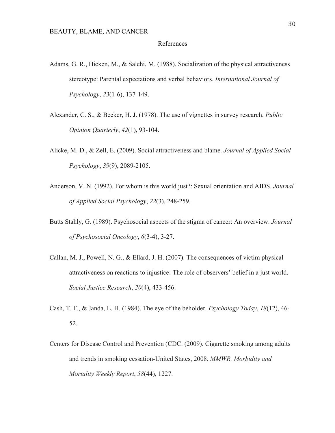#### References

- Adams, G. R., Hicken, M., & Salehi, M. (1988). Socialization of the physical attractiveness stereotype: Parental expectations and verbal behaviors. *International Journal of Psychology*, *23*(1-6), 137-149.
- Alexander, C. S., & Becker, H. J. (1978). The use of vignettes in survey research. *Public Opinion Quarterly*, *42*(1), 93-104.
- Alicke, M. D., & Zell, E. (2009). Social attractiveness and blame. *Journal of Applied Social Psychology*, *39*(9), 2089-2105.
- Anderson, V. N. (1992). For whom is this world just?: Sexual orientation and AIDS. *Journal of Applied Social Psychology*, *22*(3), 248-259.
- Butts Stahly, G. (1989). Psychosocial aspects of the stigma of cancer: An overview. *Journal of Psychosocial Oncology*, *6*(3-4), 3-27.
- Callan, M. J., Powell, N. G., & Ellard, J. H. (2007). The consequences of victim physical attractiveness on reactions to injustice: The role of observers' belief in a just world. *Social Justice Research*, *20*(4), 433-456.
- Cash, T. F., & Janda, L. H. (1984). The eye of the beholder. *Psychology Today*, *18*(12), 46- 52.
- Centers for Disease Control and Prevention (CDC. (2009). Cigarette smoking among adults and trends in smoking cessation-United States, 2008. *MMWR. Morbidity and Mortality Weekly Report*, *58*(44), 1227.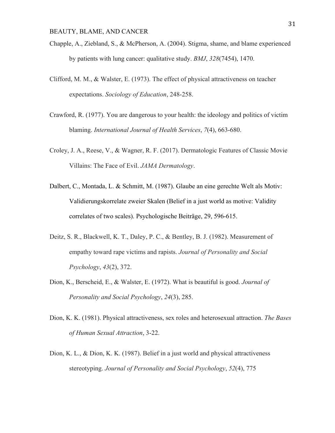- Chapple, A., Ziebland, S., & McPherson, A. (2004). Stigma, shame, and blame experienced by patients with lung cancer: qualitative study. *BMJ*, *328*(7454), 1470.
- Clifford, M. M., & Walster, E. (1973). The effect of physical attractiveness on teacher expectations. *Sociology of Education*, 248-258.
- Crawford, R. (1977). You are dangerous to your health: the ideology and politics of victim blaming. *International Journal of Health Services*, *7*(4), 663-680.
- Croley, J. A., Reese, V., & Wagner, R. F. (2017). Dermatologic Features of Classic Movie Villains: The Face of Evil. *JAMA Dermatology*.
- Dalbert, C., Montada, L. & Schmitt, M. (1987). Glaube an eine gerechte Welt als Motiv: Validierungskorrelate zweier Skalen (Belief in a just world as motive: Validity correlates of two scales). Psychologische Beiträge, 29, 596-615.
- Deitz, S. R., Blackwell, K. T., Daley, P. C., & Bentley, B. J. (1982). Measurement of empathy toward rape victims and rapists. *Journal of Personality and Social Psychology*, *43*(2), 372.
- Dion, K., Berscheid, E., & Walster, E. (1972). What is beautiful is good. *Journal of Personality and Social Psychology*, *24*(3), 285.
- Dion, K. K. (1981). Physical attractiveness, sex roles and heterosexual attraction. *The Bases of Human Sexual Attraction*, 3-22.
- Dion, K. L., & Dion, K. K. (1987). Belief in a just world and physical attractiveness stereotyping. *Journal of Personality and Social Psychology*, *52*(4), 775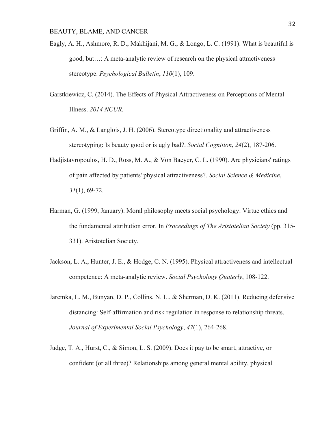- Eagly, A. H., Ashmore, R. D., Makhijani, M. G., & Longo, L. C. (1991). What is beautiful is good, but…: A meta-analytic review of research on the physical attractiveness stereotype. *Psychological Bulletin*, *110*(1), 109.
- Garstkiewicz, C. (2014). The Effects of Physical Attractiveness on Perceptions of Mental Illness. *2014 NCUR*.
- Griffin, A. M., & Langlois, J. H. (2006). Stereotype directionality and attractiveness stereotyping: Is beauty good or is ugly bad?. *Social Cognition*, *24*(2), 187-206.
- Hadjistavropoulos, H. D., Ross, M. A., & Von Baeyer, C. L. (1990). Are physicians' ratings of pain affected by patients' physical attractiveness?. *Social Science & Medicine*, *31*(1), 69-72.
- Harman, G. (1999, January). Moral philosophy meets social psychology: Virtue ethics and the fundamental attribution error. In *Proceedings of The Aristotelian Society* (pp. 315- 331). Aristotelian Society.
- Jackson, L. A., Hunter, J. E., & Hodge, C. N. (1995). Physical attractiveness and intellectual competence: A meta-analytic review. *Social Psychology Quaterly*, 108-122.
- Jaremka, L. M., Bunyan, D. P., Collins, N. L., & Sherman, D. K. (2011). Reducing defensive distancing: Self-affirmation and risk regulation in response to relationship threats. *Journal of Experimental Social Psychology*, *47*(1), 264-268.
- Judge, T. A., Hurst, C., & Simon, L. S. (2009). Does it pay to be smart, attractive, or confident (or all three)? Relationships among general mental ability, physical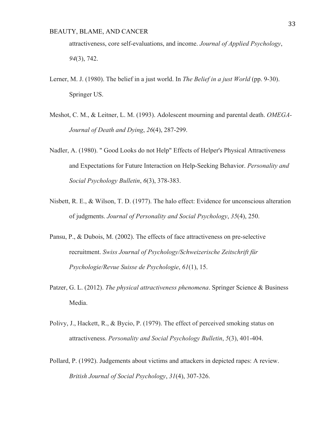attractiveness, core self-evaluations, and income. *Journal of Applied Psychology*, *94*(3), 742.

- Lerner, M. J. (1980). The belief in a just world. In *The Belief in a just World* (pp. 9-30). Springer US.
- Meshot, C. M., & Leitner, L. M. (1993). Adolescent mourning and parental death. *OMEGA-Journal of Death and Dying*, *26*(4), 287-299.
- Nadler, A. (1980). " Good Looks do not Help" Effects of Helper's Physical Attractiveness and Expectations for Future Interaction on Help-Seeking Behavior. *Personality and Social Psychology Bulletin*, *6*(3), 378-383.
- Nisbett, R. E., & Wilson, T. D. (1977). The halo effect: Evidence for unconscious alteration of judgments. *Journal of Personality and Social Psychology*, *35*(4), 250.
- Pansu, P., & Dubois, M. (2002). The effects of face attractiveness on pre-selective recruitment. *Swiss Journal of Psychology/Schweizerische Zeitschrift für Psychologie/Revue Suisse de Psychologie*, *61*(1), 15.
- Patzer, G. L. (2012). *The physical attractiveness phenomena*. Springer Science & Business Media.
- Polivy, J., Hackett, R., & Bycio, P. (1979). The effect of perceived smoking status on attractiveness. *Personality and Social Psychology Bulletin*, *5*(3), 401-404.
- Pollard, P. (1992). Judgements about victims and attackers in depicted rapes: A review. *British Journal of Social Psychology*, *31*(4), 307-326.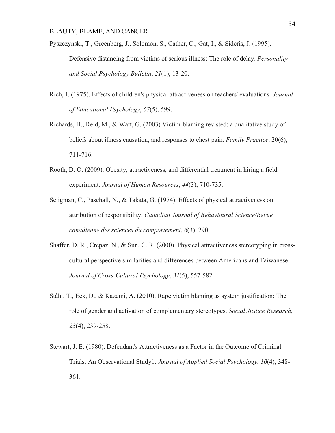- Pyszczynski, T., Greenberg, J., Solomon, S., Cather, C., Gat, I., & Sideris, J. (1995). Defensive distancing from victims of serious illness: The role of delay. *Personality and Social Psychology Bulletin*, *21*(1), 13-20.
- Rich, J. (1975). Effects of children's physical attractiveness on teachers' evaluations. *Journal of Educational Psychology*, *67*(5), 599.
- Richards, H., Reid, M., & Watt, G. (2003) Victim-blaming revisted: a qualitative study of beliefs about illness causation, and responses to chest pain. *Family Practice*, 20(6), 711-716.
- Rooth, D. O. (2009). Obesity, attractiveness, and differential treatment in hiring a field experiment. *Journal of Human Resources*, *44*(3), 710-735.
- Seligman, C., Paschall, N., & Takata, G. (1974). Effects of physical attractiveness on attribution of responsibility. *Canadian Journal of Behavioural Science/Revue canadienne des sciences du comportement*, *6*(3), 290.
- Shaffer, D. R., Crepaz, N., & Sun, C. R. (2000). Physical attractiveness stereotyping in crosscultural perspective similarities and differences between Americans and Taiwanese. *Journal of Cross-Cultural Psychology*, *31*(5), 557-582.
- Ståhl, T., Eek, D., & Kazemi, A. (2010). Rape victim blaming as system justification: The role of gender and activation of complementary stereotypes. *Social Justice Research*, *23*(4), 239-258.
- Stewart, J. E. (1980). Defendant's Attractiveness as a Factor in the Outcome of Criminal Trials: An Observational Study1. *Journal of Applied Social Psychology*, *10*(4), 348- 361.